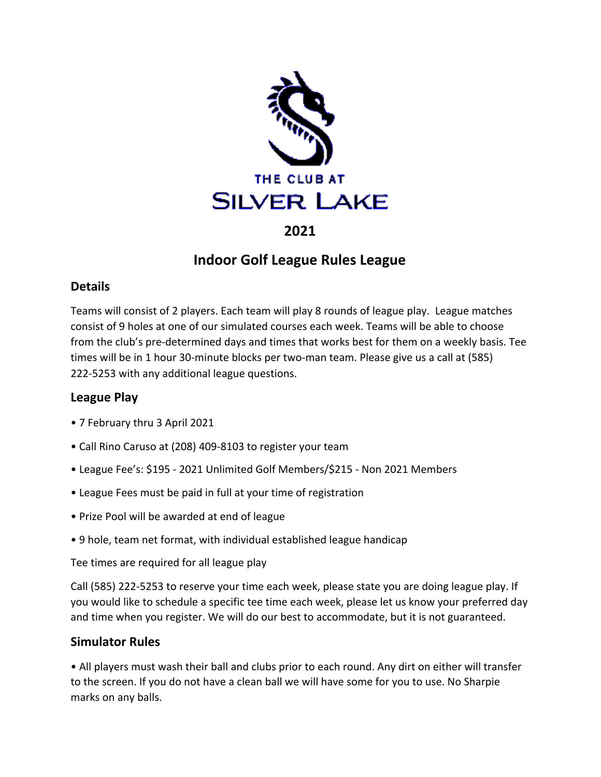

## **2021**

# **Indoor Golf League Rules League**

### **Details**

Teams will consist of 2 players. Each team will play 8 rounds of league play. League matches consist of 9 holes at one of our simulated courses each week. Teams will be able to choose from the club's pre-determined days and times that works best for them on a weekly basis. Tee times will be in 1 hour 30-minute blocks per two-man team. Please give us a call at (585) 222-5253 with any additional league questions.

## **League Play**

- 7 February thru 3 April 2021
- Call Rino Caruso at (208) 409-8103 to register your team
- League Fee's: \$195 2021 Unlimited Golf Members/\$215 Non 2021 Members
- League Fees must be paid in full at your time of registration
- Prize Pool will be awarded at end of league
- 9 hole, team net format, with individual established league handicap

Tee times are required for all league play

Call (585) 222-5253 to reserve your time each week, please state you are doing league play. If you would like to schedule a specific tee time each week, please let us know your preferred day and time when you register. We will do our best to accommodate, but it is not guaranteed.

## **Simulator Rules**

• All players must wash their ball and clubs prior to each round. Any dirt on either will transfer to the screen. If you do not have a clean ball we will have some for you to use. No Sharpie marks on any balls.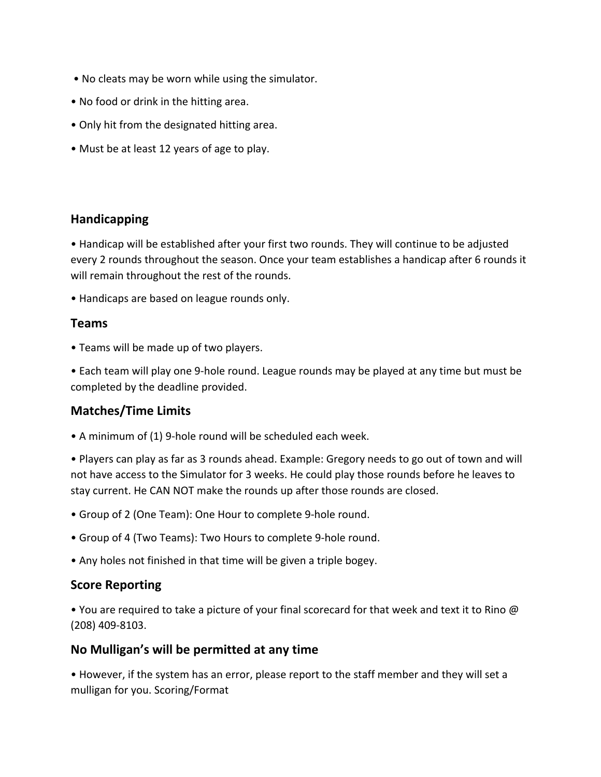- No cleats may be worn while using the simulator.
- No food or drink in the hitting area.
- Only hit from the designated hitting area.
- Must be at least 12 years of age to play.

### **Handicapping**

• Handicap will be established after your first two rounds. They will continue to be adjusted every 2 rounds throughout the season. Once your team establishes a handicap after 6 rounds it will remain throughout the rest of the rounds.

• Handicaps are based on league rounds only.

#### **Teams**

- Teams will be made up of two players.
- Each team will play one 9-hole round. League rounds may be played at any time but must be completed by the deadline provided.

## **Matches/Time Limits**

• A minimum of (1) 9-hole round will be scheduled each week.

• Players can play as far as 3 rounds ahead. Example: Gregory needs to go out of town and will not have access to the Simulator for 3 weeks. He could play those rounds before he leaves to stay current. He CAN NOT make the rounds up after those rounds are closed.

• Group of 2 (One Team): One Hour to complete 9-hole round.

- Group of 4 (Two Teams): Two Hours to complete 9-hole round.
- Any holes not finished in that time will be given a triple bogey.

#### **Score Reporting**

• You are required to take a picture of your final scorecard for that week and text it to Rino @ (208) 409-8103.

#### **No Mulligan's will be permitted at any time**

• However, if the system has an error, please report to the staff member and they will set a mulligan for you. Scoring/Format